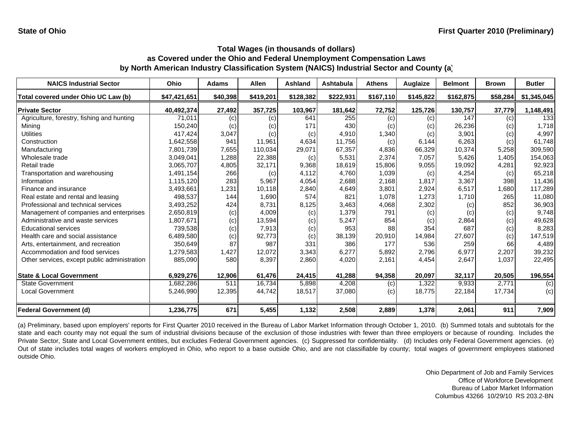| <b>NAICS Industrial Sector</b>               | Ohio         | <b>Adams</b> | <b>Allen</b> | Ashland   | Ashtabula | <b>Athens</b> | Auglaize  | <b>Belmont</b> | <b>Brown</b> | <b>Butler</b> |
|----------------------------------------------|--------------|--------------|--------------|-----------|-----------|---------------|-----------|----------------|--------------|---------------|
| Total covered under Ohio UC Law (b)          | \$47,421,651 | \$40,398     | \$419,201    | \$128,382 | \$222,931 | \$167,110     | \$145,822 | \$162,875      | \$58,284     | \$1,345,045   |
| <b>Private Sector</b>                        | 40,492,374   | 27,492       | 357,725      | 103,967   | 181,642   | 72,752        | 125,726   | 130,757        | 37,779       | 1,148,491     |
| Agriculture, forestry, fishing and hunting   | 71.011       | (c)          | (c)          | 641       | 255       | (c)           | (c)       | 147            | (c)          | 133           |
| Mining                                       | 150,240      | (c)          | (c)          | 171       | 430       | (c)           | (c)       | 26,236         | (c)          | 1,718         |
| <b>Utilities</b>                             | 417,424      | 3,047        | (c)          | (c)       | 4,910     | 1,340         | (c)       | 3,901          | (c)          | 4,997         |
| Construction                                 | 1,642,558    | 941          | 11,961       | 4,634     | 11,756    | (c)           | 6,144     | 6,263          | (c)          | 61,748        |
| Manufacturing                                | 7,801,739    | 7,655        | 110,034      | 29,071    | 67,357    | 4,836         | 66,329    | 10,374         | 5,258        | 309,590       |
| Wholesale trade                              | 3,049,041    | 1,288        | 22,388       | (c)       | 5,531     | 2,374         | 7,057     | 5,426          | 1,405        | 154,063       |
| Retail trade                                 | 3,065,707    | 4,805        | 32,171       | 9,368     | 18,619    | 15,806        | 9,055     | 19,092         | 4,281        | 92,923        |
| Transportation and warehousing               | 1,491,154    | 266          | (c)          | 4,112     | 4,760     | 1,039         | (c)       | 4,254          | (c)          | 65,218        |
| Information                                  | 1,115,120    | 283          | 5,967        | 4,054     | 2,688     | 2,168         | 1,817     | 3,367          | 398          | 11,436        |
| Finance and insurance                        | 3,493,661    | 1,231        | 10,118       | 2,840     | 4,649     | 3,801         | 2,924     | 6,517          | 1,680        | 117,289       |
| Real estate and rental and leasing           | 498,537      | 144          | 1,690        | 574       | 821       | 1,078         | 1,273     | 1.710          | 265          | 11,080        |
| Professional and technical services          | 3,493,252    | 424          | 8,731        | 8,125     | 3,463     | 4,068         | 2,302     | (c)            | 852          | 36,903        |
| Management of companies and enterprises      | 2,650,819    | (c)          | 4,009        | (c)       | 1,379     | 791           | (c)       | (c)            | (c)          | 9,748         |
| Administrative and waste services            | 1,807,671    | (c)          | 13,594       | (c)       | 5,247     | 854           | (c)       | 2,864          | (c)          | 49,628        |
| <b>Educational services</b>                  | 739,538      | (c)          | 7,913        | (c)       | 953       | 88            | 354       | 687            | (c)          | 8,283         |
| Health care and social assistance            | 6,489,580    | (c)          | 92,773       | (c)       | 38,139    | 20,910        | 14,984    | 27,607         | (c)          | 147,519       |
| Arts, entertainment, and recreation          | 350,649      | 87           | 987          | 331       | 386       | 177           | 536       | 259            | 66           | 4,489         |
| Accommodation and food services              | 1,279,583    | 1,427        | 12,072       | 3,343     | 6,277     | 5,892         | 2,796     | 6,977          | 2,207        | 39,232        |
| Other services, except public administration | 885,090      | 580          | 8,397        | 2,860     | 4,020     | 2,161         | 4,454     | 2,647          | 1,037        | 22,495        |
| <b>State &amp; Local Government</b>          | 6,929,276    | 12,906       | 61,476       | 24,415    | 41,288    | 94,358        | 20,097    | 32,117         | 20,505       | 196,554       |
| <b>State Government</b>                      | 1,682,286    | 511          | 16,734       | 5,898     | 4,208     | (c)           | 1,322     | 9,933          | 2,771        | (c)           |
| <b>Local Government</b>                      | 5,246,990    | 12,395       | 44,742       | 18,517    | 37,080    | (c)           | 18,775    | 22,184         | 17,734       | (c)           |
| <b>Federal Government (d)</b>                | 1,236,775    | 671          | 5,455        | 1,132     | 2,508     | 2,889         | 1,378     | 2,061          | 911          | 7,909         |

(a) Preliminary, based upon employers' reports for First Quarter 2010 received in the Bureau of Labor Market Information through October 1, 2010. (b) Summed totals and subtotals for the state and each county may not equal the sum of industrial divisions because of the exclusion of those industries with fewer than three employers or because of rounding. Includes the Private Sector, State and Local Government entities, but excludes Federal Government agencies. (c) Suppressed for confidentiality. (d) Includes only Federal Government agencies. (e) Out of state includes total wages of workers employed in Ohio, who report to <sup>a</sup> base outside Ohio, and are not classifiable by county; total wages of government employees stationed outside Ohio.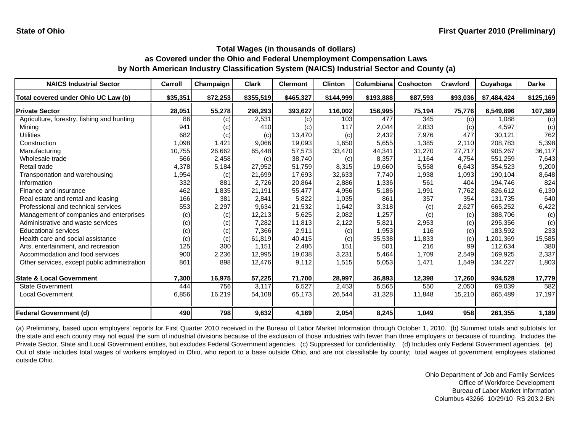| <b>NAICS Industrial Sector</b>               | Carroll  | Champaign | <b>Clark</b> | <b>Clermont</b> | <b>Clinton</b> | Columbiana | <b>Coshocton</b> | Crawford | Cuyahoga    | <b>Darke</b> |
|----------------------------------------------|----------|-----------|--------------|-----------------|----------------|------------|------------------|----------|-------------|--------------|
| Total covered under Ohio UC Law (b)          | \$35,351 | \$72,253  | \$355,519    | \$465,327       | \$144,999      | \$193,888  | \$87,593         | \$93,036 | \$7,484,424 | \$125,169    |
| <b>Private Sector</b>                        | 28,051   | 55,278    | 298,293      | 393,627         | 116,002        | 156,995    | 75,194           | 75,776   | 6,549,896   | 107,389      |
| Agriculture, forestry, fishing and hunting   | 86       | (c)       | 2,531        | (c)             | 103            | 477        | 345              | (c)      | 1.088       | (c)          |
| Mining                                       | 941      | (c)       | 410          | (c)             | 117            | 2,044      | 2,833            | (c)      | 4,597       | (c)          |
| Utilities                                    | 682      | (c)       | (c)          | 13,470          | (c)            | 2,432      | 7,976            | 477      | 30,121      | 762          |
| Construction                                 | 1,098    | 1,421     | 9,066        | 19,093          | 1,650          | 5,655      | 1,385            | 2,110    | 208,783     | 5,398        |
| Manufacturing                                | 10,755   | 26,662    | 65,448       | 57,573          | 33,470         | 44,341     | 31,270           | 27,717   | 905,267     | 36,117       |
| Wholesale trade                              | 566      | 2,458     | (c)          | 38,740          | (c)            | 8,357      | 1,164            | 4,754    | 551,259     | 7,643        |
| Retail trade                                 | 4,378    | 5,184     | 27,952       | 51,759          | 8,315          | 19,660     | 5,558            | 6,643    | 354,523     | 9,200        |
| Transportation and warehousing               | 1,954    | (c)       | 21,699       | 17,693          | 32,633         | 7,740      | 1,938            | 1,093    | 190,104     | 8,648        |
| Information                                  | 332      | 881       | 2,726        | 20,864          | 2,886          | 1,336      | 561              | 404      | 194,746     | 824          |
| Finance and insurance                        | 462      | 1,835     | 21,191       | 55,477          | 4,956          | 5,186      | 1,991            | 7,762    | 826,612     | 6,130        |
| Real estate and rental and leasing           | 166      | 381       | 2,841        | 5,822           | 1,035          | 861        | 357              | 354      | 131.735     | 640          |
| Professional and technical services          | 553      | 2,297     | 9,634        | 21,532          | 1,642          | 3,318      | (c)              | 2,627    | 665,252     | 6,422        |
| Management of companies and enterprises      | (c)      | (c)       | 12,213       | 5,625           | 2,082          | 1,257      | (c)              | (c)      | 388.706     | (c)          |
| Administrative and waste services            | (c)      | (c)       | 7,282        | 11,813          | 2,122          | 5,821      | 2,953            | (c)      | 295,356     | (c)          |
| <b>Educational services</b>                  | (c)      | (c)       | 7,366        | 2,911           | (c)            | 1,953      | 116              | (c)      | 183,592     | 233          |
| Health care and social assistance            | (c)      | (c)       | 61,819       | 40.415          | (c)            | 35,538     | 11,833           | (c)      | 1,201,369   | 15,585       |
| Arts, entertainment, and recreation          | 125      | 300       | 1,151        | 2.486           | 151            | 501        | 216              | 99       | 112,634     | 380          |
| Accommodation and food services              | 900      | 2,236     | 12,995       | 19,038          | 3,231          | 5,464      | 1.709            | 2,549    | 169,925     | 2,337        |
| Other services, except public administration | 861      | 898       | 12,476       | 9,112           | 1,515          | 5,053      | 1,471            | 1,549    | 134,227     | 1,803        |
| <b>State &amp; Local Government</b>          | 7,300    | 16,975    | 57,225       | 71,700          | 28,997         | 36,893     | 12,398           | 17,260   | 934,528     | 17,779       |
| <b>State Government</b>                      | 444      | 756       | 3.117        | 6,527           | 2,453          | 5,565      | 550              | 2,050    | 69,039      | 582          |
| <b>Local Government</b>                      | 6,856    | 16,219    | 54,108       | 65,173          | 26,544         | 31,328     | 11,848           | 15,210   | 865,489     | 17,197       |
| <b>Federal Government (d)</b>                | 490      | 798       | 9,632        | 4,169           | 2,054          | 8,245      | 1,049            | 958      | 261,355     | 1,189        |

(a) Preliminary, based upon employers' reports for First Quarter 2010 received in the Bureau of Labor Market Information through October 1, 2010. (b) Summed totals and subtotals for the state and each county may not equal the sum of industrial divisions because of the exclusion of those industries with fewer than three employers or because of rounding. Includes the Private Sector, State and Local Government entities, but excludes Federal Government agencies. (c) Suppressed for confidentiality. (d) Includes only Federal Government agencies. (e) Out of state includes total wages of workers employed in Ohio, who report to <sup>a</sup> base outside Ohio, and are not classifiable by county; total wages of government employees stationed outside Ohio.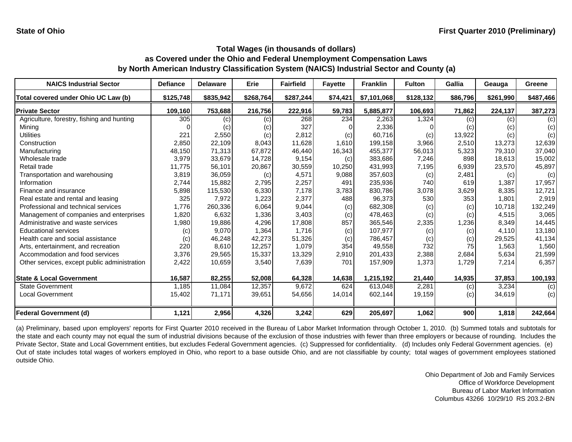| <b>NAICS Industrial Sector</b>               | <b>Defiance</b> | <b>Delaware</b> | Erie      | <b>Fairfield</b> | <b>Fayette</b> | <b>Franklin</b> | <b>Fulton</b> | Gallia   | Geauga    | Greene    |
|----------------------------------------------|-----------------|-----------------|-----------|------------------|----------------|-----------------|---------------|----------|-----------|-----------|
| Total covered under Ohio UC Law (b)          | \$125,748       | \$835,942       | \$268,764 | \$287,244        | \$74,421       | \$7,101,068     | \$128,132     | \$86,796 | \$261,990 | \$487,466 |
| <b>Private Sector</b>                        | 109,160         | 753,688         | 216,756   | 222,916          | 59,783         | 5,885,877       | 106,693       | 71,862   | 224,137   | 387,273   |
| Agriculture, forestry, fishing and hunting   | 305             | (c)             | (c)       | 268              | 234            | 2,263           | 1,324         | (c)      | (c)       | (c)       |
| Mining                                       |                 | (c)             | (c)       | 327              |                | 2,336           |               | (c)      | (c)       | (c)       |
| Utilities                                    | 22'             | 2,550           | (c)       | 2,812            | (c)            | 60,716          | (c)           | 13,922   | (c)       | (c)       |
| Construction                                 | 2,850           | 22,109          | 8,043     | 11,628           | 1,610          | 199,158         | 3,966         | 2,510    | 13,273    | 12,639    |
| Manufacturing                                | 48,150          | 71,313          | 67,872    | 46,440           | 16,343         | 455,377         | 56,013        | 5,323    | 79,310    | 37,040    |
| Wholesale trade                              | 3,979           | 33,679          | 14,728    | 9,154            | (c)            | 383,686         | 7,246         | 898      | 18,613    | 15,002    |
| Retail trade                                 | 11,775          | 56,101          | 20,867    | 30,559           | 10,250         | 431,993         | 7,195         | 6,939    | 23,570    | 45,897    |
| Transportation and warehousing               | 3,819           | 36,059          | (c)       | 4,571            | 9,088          | 357,603         | (c)           | 2,481    | (c)       | (c)       |
| Information                                  | 2,744           | 15,882          | 2,795     | 2,257            | 491            | 235,936         | 740           | 619      | 1,387     | 17,957    |
| Finance and insurance                        | 5,898           | 115,530         | 6,330     | 7,178            | 3,783          | 830,786         | 3,078         | 3,629    | 8,335     | 12,721    |
| Real estate and rental and leasing           | 325             | 7,972           | 1,223     | 2,377            | 488            | 96,373          | 530           | 353      | 1,801     | 2,919     |
| Professional and technical services          | 1,776           | 260,336         | 6,064     | 9,044            | (c)            | 682,308         | (c)           | (c)      | 10,718    | 132,249   |
| Management of companies and enterprises      | 1,820           | 6,632           | 1,336     | 3,403            | (c)            | 478,463         | (c)           | (c)      | 4,515     | 3,065     |
| Administrative and waste services            | 1,980           | 19,886          | 4,296     | 17,808           | 857            | 365,546         | 2,335         | 1,236    | 8,349     | 14,445    |
| <b>Educational services</b>                  | (c)             | 9,070           | 1,364     | 1,716            | (c)            | 107,977         | (c)           | (c)      | 4,110     | 13,180    |
| Health care and social assistance            | (c)             | 46,248          | 42,273    | 51,326           | (c)            | 786,457         | (c)           | (c)      | 29,525    | 41,134    |
| Arts, entertainment, and recreation          | 220             | 8,610           | 12,257    | 1,079            | 354            | 49,558          | 732           | 75       | 1,563     | 1,560     |
| Accommodation and food services              | 3,376           | 29,565          | 15,337    | 13,329           | 2,910          | 201,433         | 2,388         | 2,684    | 5,634     | 21,599    |
| Other services, except public administration | 2,422           | 10,659          | 3,540     | 7,639            | 701            | 157,909         | 1,373         | 1,729    | 7,214     | 6,357     |
| <b>State &amp; Local Government</b>          | 16,587          | 82,255          | 52,008    | 64,328           | 14,638         | 1,215,192       | 21,440        | 14,935   | 37,853    | 100,193   |
| <b>State Government</b>                      | 1,185           | 11,084          | 12,357    | 9,672            | 624            | 613,048         | 2,281         | (c)      | 3,234     | (c)       |
| <b>Local Government</b>                      | 15,402          | 71,171          | 39,651    | 54,656           | 14,014         | 602,144         | 19,159        | (c)      | 34,619    | (c)       |
| <b>Federal Government (d)</b>                | 1,121           | 2,956           | 4,326     | 3,242            | 629            | 205,697         | 1,062         | 900      | 1,818     | 242,664   |

(a) Preliminary, based upon employers' reports for First Quarter 2010 received in the Bureau of Labor Market Information through October 1, 2010. (b) Summed totals and subtotals for the state and each county may not equal the sum of industrial divisions because of the exclusion of those industries with fewer than three employers or because of rounding. Includes the Private Sector, State and Local Government entities, but excludes Federal Government agencies. (c) Suppressed for confidentiality. (d) Includes only Federal Government agencies. (e) Out of state includes total wages of workers employed in Ohio, who report to <sup>a</sup> base outside Ohio, and are not classifiable by county; total wages of government employees stationed outside Ohio.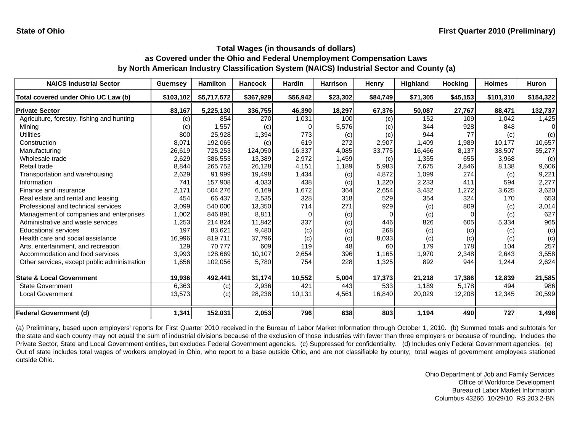| <b>NAICS Industrial Sector</b>               | <b>Guernsey</b>   | <b>Hamilton</b> | <b>Hancock</b> | <b>Hardin</b> | <b>Harrison</b> | <b>Henry</b> | Highland | <b>Hocking</b> | <b>Holmes</b> | <b>Huron</b> |
|----------------------------------------------|-------------------|-----------------|----------------|---------------|-----------------|--------------|----------|----------------|---------------|--------------|
| Total covered under Ohio UC Law (b)          | \$103,102         | \$5,717,572     | \$367,929      | \$56,942      | \$23,302        | \$84,749     | \$71,305 | \$45,153       | \$101,310     | \$154,322    |
| <b>Private Sector</b>                        | 83,167            | 5,225,130       | 336,755        | 46,390        | 18,297          | 67,376       | 50,087   | 27,767         | 88,471        | 132,737      |
| Agriculture, forestry, fishing and hunting   | (c)               | 854             | 270            | 1,031         | 100             | (c)          | 152      | 109            | 1.042         | 1,425        |
| Mining                                       | $\left( c\right)$ | 1,557           | (c)            |               | 5,576           | (c)          | 344      | 928            | 848           |              |
| <b>Utilities</b>                             | 800               | 25,928          | 1,394          | 773           | (c)             | (c)          | 944      | 77             | (c)           | (c)          |
| Construction                                 | 8,071             | 192,065         | (c)            | 619           | 272             | 2,907        | 1,409    | 1,989          | 10.177        | 10,657       |
| Manufacturing                                | 26,619            | 725,253         | 124,050        | 16,337        | 4,085           | 33,775       | 16,466   | 8,137          | 38,507        | 55,277       |
| Wholesale trade                              | 2,629             | 386,553         | 13,389         | 2,972         | 1,459           | (c)          | 1,355    | 655            | 3,968         | (c)          |
| Retail trade                                 | 8,844             | 265,752         | 26,128         | 4,151         | 1,189           | 5,983        | 7,675    | 3,846          | 8,138         | 9,606        |
| Transportation and warehousing               | 2,629             | 91,999          | 19,498         | 1,434         | (c)             | 4,872        | 1,099    | 274            | (c)           | 9,221        |
| Information                                  | 741               | 157,908         | 4,033          | 438           | (c)             | 1,220        | 2,233    | 411            | 594           | 2,277        |
| Finance and insurance                        | 2,171             | 504,276         | 6,169          | 1,672         | 364             | 2,654        | 3,432    | 1,272          | 3,625         | 3,620        |
| Real estate and rental and leasing           | 454               | 66,437          | 2,535          | 328           | 318             | 529          | 354      | 324            | 170           | 653          |
| Professional and technical services          | 3,099             | 540,000         | 13,350         | 714           | 271             | 929          | (c)      | 809            | (c)           | 3,014        |
| Management of companies and enterprises      | 1,002             | 846,891         | 8,811          | O             | (c)             |              | (c)      | $\Omega$       | (c)           | 627          |
| Administrative and waste services            | 1,253             | 214,824         | 11,842         | 337           | (c)             | 446          | 826      | 605            | 5,334         | 965          |
| <b>Educational services</b>                  | 197               | 83,621          | 9,480          | (c)           | (c)             | 268          | (c)      | (c)            | (c)           | (c)          |
| Health care and social assistance            | 16,996            | 819,711         | 37,796         | (c)           | (c)             | 8,033        | (c)      | (c)            | (c)           | (c)          |
| Arts, entertainment, and recreation          | 129               | 70,777          | 609            | 119           | 48              | 60           | 179      | 178            | 104           | 257          |
| Accommodation and food services              | 3,993             | 128,669         | 10,107         | 2,654         | 396             | 1,165        | 1,970    | 2,348          | 2,643         | 3,558        |
| Other services, except public administration | 1,656             | 102,056         | 5,780          | 754           | 228             | 1,325        | 892      | 944            | 1,244         | 2,624        |
| <b>State &amp; Local Government</b>          | 19,936            | 492,441         | 31,174         | 10,552        | 5,004           | 17,373       | 21,218   | 17,386         | 12,839        | 21,585       |
| <b>State Government</b>                      | 6,363             | (c)             | 2,936          | 421           | 443             | 533          | 1,189    | 5,178          | 494           | 986          |
| Local Government                             | 13,573            | (c)             | 28,238         | 10,131        | 4,561           | 16,840       | 20,029   | 12,208         | 12,345        | 20,599       |
| <b>Federal Government (d)</b>                | 1,341             | 152,031         | 2,053          | 796           | 638             | 803          | 1,194    | 490            | 727           | 1,498        |

(a) Preliminary, based upon employers' reports for First Quarter 2010 received in the Bureau of Labor Market Information through October 1, 2010. (b) Summed totals and subtotals for the state and each county may not equal the sum of industrial divisions because of the exclusion of those industries with fewer than three employers or because of rounding. Includes the Private Sector, State and Local Government entities, but excludes Federal Government agencies. (c) Suppressed for confidentiality. (d) Includes only Federal Government agencies. (e) Out of state includes total wages of workers employed in Ohio, who report to <sup>a</sup> base outside Ohio, and are not classifiable by county; total wages of government employees stationed outside Ohio.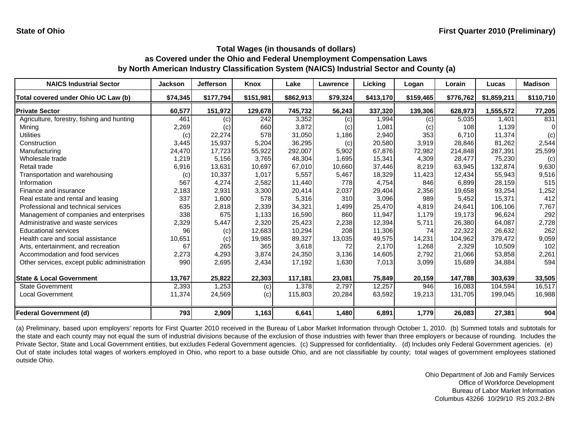| <b>NAICS Industrial Sector</b>               | <b>Jackson</b> | Jefferson | Knox      | Lake      | Lawrence | Licking   | Logan     | Lorain    | Lucas       | <b>Madison</b> |
|----------------------------------------------|----------------|-----------|-----------|-----------|----------|-----------|-----------|-----------|-------------|----------------|
| Total covered under Ohio UC Law (b)          | \$74,345       | \$177,794 | \$151,981 | \$862,913 | \$79,324 | \$413,170 | \$159,465 | \$776,762 | \$1,859,211 | \$110,710      |
| <b>Private Sector</b>                        | 60,577         | 151,972   | 129,678   | 745,732   | 56,243   | 337,320   | 139,306   | 628,973   | 1,555,572   | 77,205         |
| Agriculture, forestry, fishing and hunting   | 461            | (c)       | 242       | 3,352     | (c)      | 1,994     | (c)       | 5,035     | 1.401       | 831            |
| Mining                                       | 2,269          | (c)       | 660       | 3.872     | (c)      | 1.081     | (c)       | 108       | 1.139       |                |
| Utilities                                    | (c)            | 22,274    | 578       | 31,050    | 1,186    | 2,940     | 353       | 6,710     | 11,374      | (c)            |
| Construction                                 | 3,445          | 15,937    | 5,204     | 36,295    | (c)      | 20,580    | 3,919     | 28.846    | 81.262      | 2,544          |
| Manufacturing                                | 24,470         | 17,723    | 55,922    | 292,007   | 5,902    | 67,876    | 72,982    | 214,848   | 287,391     | 25,599         |
| Wholesale trade                              | 1,219          | 5,156     | 3,765     | 48,304    | 1,695    | 15,341    | 4,309     | 28,477    | 75,230      | (c)            |
| Retail trade                                 | 6,916          | 13,631    | 10,697    | 67,010    | 10,660   | 37,446    | 8,219     | 63,945    | 132,874     | 9,630          |
| Transportation and warehousing               | (c)            | 10,337    | 1,017     | 5,557     | 5,467    | 18,329    | 11,423    | 12,434    | 55,943      | 9,516          |
| Information                                  | 567            | 4,274     | 2,582     | 11,440    | 778      | 4,754     | 846       | 6,899     | 28,159      | 515            |
| Finance and insurance                        | 2,183          | 2,931     | 3,300     | 20,414    | 2,037    | 29,404    | 2,356     | 19,658    | 93,254      | 1,252          |
| Real estate and rental and leasing           | 337            | 1,600     | 578       | 5,316     | 310      | 3,096     | 989       | 5.452     | 15,371      | 412            |
| Professional and technical services          | 635            | 2,818     | 2,339     | 34,321    | 1,499    | 25,470    | 4,819     | 24,641    | 106,106     | 7,767          |
| Management of companies and enterprises      | 338            | 675       | 1,133     | 16,590    | 860      | 11,947    | 1,179     | 19,173    | 96,624      | 292            |
| Administrative and waste services            | 2,329          | 5,447     | 2,320     | 25,423    | 2,238    | 12,394    | 5,711     | 26,380    | 64,087      | 2,728          |
| <b>Educational services</b>                  | 96             | (c)       | 12,683    | 10,294    | 208      | 11,306    | 74        | 22,322    | 26,632      | 262            |
| Health care and social assistance            | 10,651         | (c)       | 19,985    | 89,327    | 13,035   | 49,575    | 14,231    | 104,962   | 379,472     | 9,059          |
| Arts, entertainment, and recreation          | 67             | 265       | 365       | 3,618     | 72       | 2,170     | 1,268     | 2,329     | 10,509      | 102            |
| Accommodation and food services              | 2,273          | 4,293     | 3,874     | 24,350    | 3,136    | 14,605    | 2,792     | 21,066    | 53,858      | 2,261          |
| Other services, except public administration | 990            | 2,695     | 2,434     | 17,192    | 1,630    | 7,013     | 3,099     | 15,689    | 34,884      | 594            |
| <b>State &amp; Local Government</b>          | 13,767         | 25,822    | 22,303    | 117,181   | 23,081   | 75,849    | 20,159    | 147,788   | 303,639     | 33,505         |
| <b>State Government</b>                      | 2,393          | 1,253     | (c)       | 1,378     | 2,797    | 12,257    | 946       | 16,083    | 104,594     | 16,517         |
| Local Government                             | 11,374         | 24,569    | (c)       | 115,803   | 20,284   | 63,592    | 19,213    | 131,705   | 199,045     | 16,988         |
| <b>Federal Government (d)</b>                | 793            | 2,909     | 1,163     | 6,641     | 1,480    | 6,891     | 1,779     | 26,083    | 27,381      | 904            |

(a) Preliminary, based upon employers' reports for First Quarter 2010 received in the Bureau of Labor Market Information through October 1, 2010. (b) Summed totals and subtotals for the state and each county may not equal the sum of industrial divisions because of the exclusion of those industries with fewer than three employers or because of rounding. Includes the Private Sector, State and Local Government entities, but excludes Federal Government agencies. (c) Suppressed for confidentiality. (d) Includes only Federal Government agencies. (e) Out of state includes total wages of workers employed in Ohio, who report to <sup>a</sup> base outside Ohio, and are not classifiable by county; total wages of government employees stationed outside Ohio.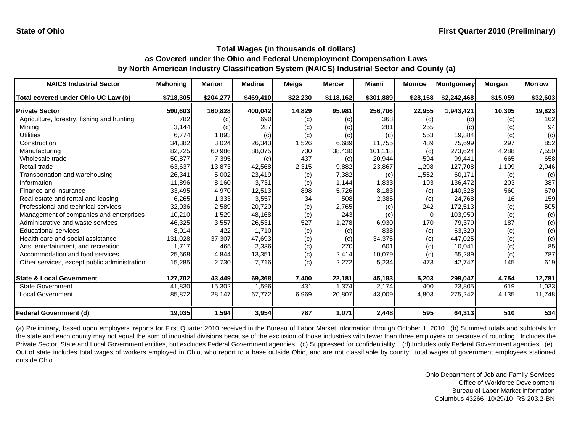| <b>NAICS Industrial Sector</b>               | <b>Mahoning</b> | <b>Marion</b> | <b>Medina</b> | <b>Meigs</b> | <b>Mercer</b> | <b>Miami</b> | <b>Monroe</b> | <b>Montgomery</b> | <b>Morgan</b> | <b>Morrow</b> |
|----------------------------------------------|-----------------|---------------|---------------|--------------|---------------|--------------|---------------|-------------------|---------------|---------------|
| Total covered under Ohio UC Law (b)          | \$718,305       | \$204,277     | \$469,410     | \$22,230     | \$118,162     | \$301,889    | \$28,158      | \$2,242,468       | \$15,059      | \$32,603      |
| <b>Private Sector</b>                        | 590,603         | 160,828       | 400,042       | 14,829       | 95,981        | 256,706      | 22,955        | 1,943,421         | 10,305        | 19,823        |
| Agriculture, forestry, fishing and hunting   | 782             | (c)           | 690           | (c)          | (c)           | 368          | (c)           | (c)               | (c)           | 162           |
| Mining                                       | 3,144           | (c)           | 287           | (c)          | (c)           | 281          | 255           | (c)               | (c)           | 94            |
| Utilities                                    | 6,774           | 1,893         | (c)           | (c)          | (c)           | (c)          | 553           | 19,884            | (c)           | (c)           |
| Construction                                 | 34,382          | 3,024         | 26,343        | 1,526        | 6,689         | 11,755       | 489           | 75,699            | 297           | 852           |
| Manufacturing                                | 82,725          | 60,986        | 88,075        | 730          | 38,430        | 101,118      | (c)           | 273,624           | 4,288         | 7,550         |
| Wholesale trade                              | 50,877          | 7,395         | (c)           | 437          | (c)           | 20,944       | 594           | 99,441            | 665           | 658           |
| Retail trade                                 | 63,637          | 13,873        | 42,568        | 2,315        | 9,882         | 23,867       | 1,298         | 127,708           | 1,109         | 2,946         |
| Transportation and warehousing               | 26,341          | 5,002         | 23,419        | (c)          | 7,382         | (c)          | 1,552         | 60,171            | (c)           | (c)           |
| Information                                  | 11,896          | 8,160         | 3,731         | (c)          | 1,144         | 1,833        | 193           | 136,472           | 203           | 387           |
| Finance and insurance                        | 33,495          | 4,970         | 12,513        | 898          | 5,726         | 8,183        | (c)           | 140,328           | 560           | 670           |
| Real estate and rental and leasing           | 6,265           | 1,333         | 3,557         | 34           | 508           | 2,385        | (c)           | 24,768            | 16            | 159           |
| Professional and technical services          | 32,036          | 2,589         | 20,720        | (c)          | 2,765         | (c)          | 242           | 172,513           | (c)           | 505           |
| Management of companies and enterprises      | 10,210          | 1,529         | 48,168        | (c)          | 243           | (c)          | $\Omega$      | 103,950           | (c)           | (c)           |
| Administrative and waste services            | 46,325          | 3,557         | 26,531        | 527          | 1,278         | 6,930        | 170           | 79,379            | 187           | (c)           |
| <b>Educational services</b>                  | 8,014           | 422           | 1,710         | (c)          | (c)           | 838          | (c)           | 63,329            | (c)           | (c)           |
| Health care and social assistance            | 131,028         | 37,307        | 47,693        | (c)          | (c)           | 34,375       | (c)           | 447,025           | (c)           | (c)           |
| Arts, entertainment, and recreation          | 1,717           | 465           | 2,336         | (c)          | 270           | 601          | (c)           | 10.041            | (c)           | 85            |
| Accommodation and food services              | 25,668          | 4,844         | 13,351        | (c)          | 2,414         | 10,079       | (c)           | 65,289            | (c)           | 787           |
| Other services, except public administration | 15,285          | 2,730         | 7,716         | (c)          | 2,272         | 5,234        | 473           | 42,747            | 145           | 619           |
| <b>State &amp; Local Government</b>          | 127,702         | 43,449        | 69,368        | 7,400        | 22,181        | 45,183       | 5,203         | 299,047           | 4,754         | 12,781        |
| <b>State Government</b>                      | 41,830          | 15,302        | 1,596         | 431          | 1,374         | 2.174        | 400           | 23,805            | 619           | 1,033         |
| <b>Local Government</b>                      | 85,872          | 28,147        | 67,772        | 6,969        | 20,807        | 43,009       | 4,803         | 275,242           | 4,135         | 11,748        |
| <b>Federal Government (d)</b>                | 19,035          | 1,594         | 3,954         | 787          | 1,071         | 2,448        | 595           | 64,313            | 510           | 534           |

(a) Preliminary, based upon employers' reports for First Quarter 2010 received in the Bureau of Labor Market Information through October 1, 2010. (b) Summed totals and subtotals for the state and each county may not equal the sum of industrial divisions because of the exclusion of those industries with fewer than three employers or because of rounding. Includes the Private Sector, State and Local Government entities, but excludes Federal Government agencies. (c) Suppressed for confidentiality. (d) Includes only Federal Government agencies. (e) Out of state includes total wages of workers employed in Ohio, who report to <sup>a</sup> base outside Ohio, and are not classifiable by county; total wages of government employees stationed outside Ohio.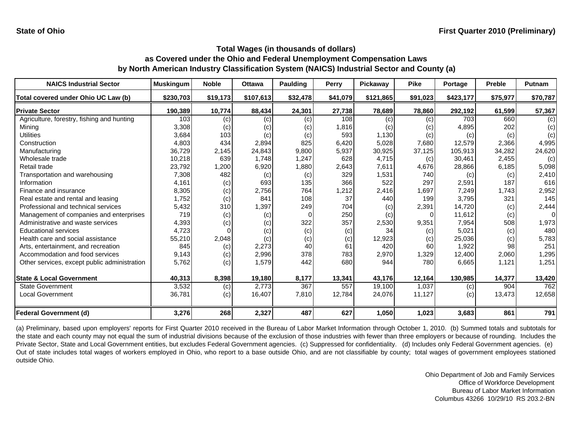| <b>NAICS Industrial Sector</b>               | <b>Muskingum</b> | <b>Noble</b> | <b>Ottawa</b> | <b>Paulding</b> | Perry    | Pickaway  | <b>Pike</b> | Portage   | <b>Preble</b> | Putnam   |
|----------------------------------------------|------------------|--------------|---------------|-----------------|----------|-----------|-------------|-----------|---------------|----------|
| Total covered under Ohio UC Law (b)          | \$230,703        | \$19,173     | \$107,613     | \$32,478        | \$41,079 | \$121,865 | \$91,023    | \$423,177 | \$75,977      | \$70,787 |
| <b>Private Sector</b>                        | 190,389          | 10,774       | 88,434        | 24,301          | 27,738   | 78,689    | 78,860      | 292,192   | 61,599        | 57,367   |
| Agriculture, forestry, fishing and hunting   | 103              | (c)          | (c)           | (c)             | 108      | (c)       | (c)         | 703       | 660           | (c)      |
| Mining                                       | 3,308            | (c)          | (c)           | (c)             | 1,816    | (c)       | (c)         | 4,895     | 202           | (c)      |
| Utilities                                    | 3,684            | 103          | (c)           | (c)             | 593      | 1,130     | (c)         | (c)       | (c)           | (c)      |
| Construction                                 | 4,803            | 434          | 2,894         | 825             | 6,420    | 5,028     | 7,680       | 12,579    | 2,366         | 4,995    |
| Manufacturing                                | 36,729           | 2,145        | 24,843        | 9,800           | 5,937    | 30,925    | 37,125      | 105,913   | 34,282        | 24,620   |
| Wholesale trade                              | 10,218           | 639          | 1,748         | 1,247           | 628      | 4,715     | (c)         | 30,461    | 2,455         | (c)      |
| Retail trade                                 | 23,792           | 1,200        | 6,920         | 1,880           | 2,643    | 7,611     | 4,676       | 28,866    | 6,185         | 5,098    |
| Transportation and warehousing               | 7,308            | 482          | (c)           | (c)             | 329      | 1,531     | 740         | (c)       | (c)           | 2,410    |
| Information                                  | 4,161            | (c)          | 693           | 135             | 366      | 522       | 297         | 2,591     | 187           | 616      |
| Finance and insurance                        | 8,305            | (c)          | 2,756         | 764             | 1,212    | 2,416     | 1,697       | 7,249     | 1,743         | 2,952    |
| Real estate and rental and leasing           | 1,752            | (c)          | 841           | 108             | 37       | 440       | 199         | 3,795     | 321           | 145      |
| Professional and technical services          | 5,432            | 310          | 1,397         | 249             | 704      | (c)       | 2,391       | 14,720    | (c)           | 2,444    |
| Management of companies and enterprises      | 719              | (c)          | (c)           | $\Omega$        | 250      | (c)       | O           | 11,612    | (c)           | $\Omega$ |
| Administrative and waste services            | 4,393            | (c)          | (c)           | 322             | 357      | 2,530     | 9,351       | 7,954     | 508           | 1,973    |
| <b>Educational services</b>                  | 4,723            |              | (c)           | (c)             | (c)      | 34        | (c)         | 5,021     | (c)           | 480      |
| Health care and social assistance            | 55,210           | 2,048        | (c)           | (c)             | (c)      | 12,923    | (c)         | 25,036    | (c)           | 5,783    |
| Arts, entertainment, and recreation          | 845              | (c)          | 2,273         | 40              | 61       | 420       | 60          | 1,922     | 98            | 251      |
| Accommodation and food services              | 9,143            | (c)          | 2,996         | 378             | 783      | 2,970     | 1,329       | 12,400    | 2,060         | 1,295    |
| Other services, except public administration | 5,762            | (c)          | 1,579         | 442             | 680      | 944       | 780         | 6,665     | 1,121         | 1,251    |
| <b>State &amp; Local Government</b>          | 40,313           | 8,398        | 19,180        | 8,177           | 13,341   | 43,176    | 12,164      | 130,985   | 14,377        | 13,420   |
| <b>State Government</b>                      | 3,532            | (c)          | 2.773         | 367             | 557      | 19.100    | 1,037       | (c)       | 904           | 762      |
| <b>Local Government</b>                      | 36,781           | (c)          | 16,407        | 7,810           | 12,784   | 24,076    | 11,127      | (c)       | 13,473        | 12,658   |
| <b>Federal Government (d)</b>                | 3,276            | 268          | 2,327         | 487             | 627      | 1,050     | 1,023       | 3,683     | 861           | 791      |

(a) Preliminary, based upon employers' reports for First Quarter 2010 received in the Bureau of Labor Market Information through October 1, 2010. (b) Summed totals and subtotals for the state and each county may not equal the sum of industrial divisions because of the exclusion of those industries with fewer than three employers or because of rounding. Includes the Private Sector, State and Local Government entities, but excludes Federal Government agencies. (c) Suppressed for confidentiality. (d) Includes only Federal Government agencies. (e) Out of state includes total wages of workers employed in Ohio, who report to <sup>a</sup> base outside Ohio, and are not classifiable by county; total wages of government employees stationed outside Ohio.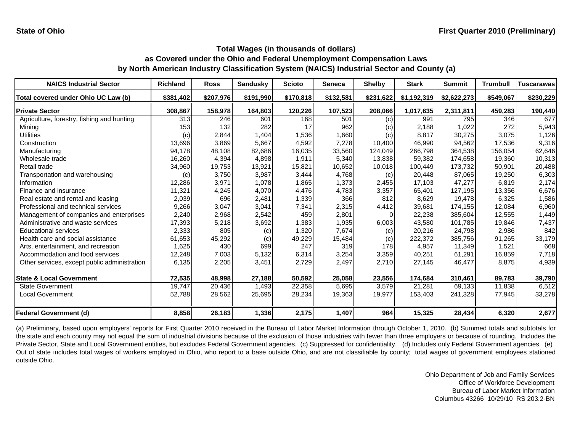| <b>NAICS Industrial Sector</b>               | <b>Richland</b> | <b>Ross</b> | <b>Sandusky</b> | <b>Scioto</b> | <b>Seneca</b> | <b>Shelby</b> | <b>Stark</b> | <b>Summit</b> | <b>Trumbull</b> | <b>Tuscarawas</b> |
|----------------------------------------------|-----------------|-------------|-----------------|---------------|---------------|---------------|--------------|---------------|-----------------|-------------------|
| Total covered under Ohio UC Law (b)          | \$381,402       | \$207,976   | \$191,990       | \$170,818     | \$132,581     | \$231,622     | \$1,192,319  | \$2,622,273   | \$549,067       | \$230,229         |
| <b>Private Sector</b>                        | 308,867         | 158,978     | 164,803         | 120,226       | 107,523       | 208,066       | 1,017,635    | 2,311,811     | 459,283         | 190,440           |
| Agriculture, forestry, fishing and hunting   | 313             | 246         | 601             | 168           | 501           | (c)           | 991          | 795           | 346             | 677               |
| Mining                                       | 153             | 132         | 282             | 17            | 962           | (c)           | 2,188        | 1,022         | 272             | 5,943             |
| Utilities                                    | (c)             | 2,844       | 1,404           | 1,536         | 1,660         | (c)           | 8,817        | 30,275        | 3,075           | 1,126             |
| Construction                                 | 13,696          | 3,869       | 5,667           | 4,592         | 7,278         | 10,400        | 46,990       | 94,562        | 17,536          | 9,316             |
| Manufacturing                                | 94,178          | 48,108      | 82,686          | 16,035        | 33,560        | 124,049       | 266,798      | 364,538       | 156.054         | 62,646            |
| Wholesale trade                              | 16,260          | 4,394       | 4,898           | 1,911         | 5,340         | 13,838        | 59,382       | 174,658       | 19,360          | 10,313            |
| Retail trade                                 | 34,960          | 19,753      | 13,921          | 15,821        | 10,652        | 10,018        | 100,449      | 173,732       | 50,901          | 20,488            |
| Transportation and warehousing               | (c)             | 3,750       | 3,987           | 3,444         | 4,768         | (c)           | 20,448       | 87,065        | 19,250          | 6,303             |
| Information                                  | 12,286          | 3,971       | 1,078           | 1,865         | 1,373         | 2,455         | 17.103       | 47,277        | 6,819           | 2,174             |
| Finance and insurance                        | 11,321          | 4,245       | 4,070           | 4,476         | 4,783         | 3,357         | 65,401       | 127,195       | 13,356          | 6,676             |
| Real estate and rental and leasing           | 2,039           | 696         | 2,481           | 1,339         | 366           | 812           | 8,629        | 19,478        | 6,325           | 1,586             |
| Professional and technical services          | 9,266           | 3,047       | 3,041           | 7,341         | 2,315         | 4,412         | 39,681       | 174,155       | 12,084          | 6,960             |
| Management of companies and enterprises      | 2,240           | 2,968       | 2,542           | 459           | 2,801         |               | 22,238       | 385,604       | 12,555          | 1,449             |
| Administrative and waste services            | 17,393          | 5,218       | 3,692           | 1,383         | 1,935         | 6,003         | 43,580       | 101.785       | 19,846          | 7,437             |
| <b>Educational services</b>                  | 2,333           | 805         | (c)             | 1,320         | 7,674         | (c)           | 20,216       | 24,798        | 2,986           | 842               |
| Health care and social assistance            | 61,653          | 45,292      | (c)             | 49,229        | 15,484        | (c)           | 222,372      | 385,756       | 91,265          | 33,179            |
| Arts, entertainment, and recreation          | 1,625           | 430         | 699             | 247           | 319           | 178           | 4,957        | 11,349        | 1,521           | 668               |
| Accommodation and food services              | 12,248          | 7,003       | 5,132           | 6,314         | 3,254         | 3,359         | 40,251       | 61,291        | 16.859          | 7,718             |
| Other services, except public administration | 6,135           | 2,205       | 3,451           | 2,729         | 2,497         | 2,710         | 27,145       | 46,477        | 8,875           | 4,939             |
| <b>State &amp; Local Government</b>          | 72,535          | 48,998      | 27,188          | 50,592        | 25,058        | 23,556        | 174,684      | 310,461       | 89,783          | 39,790            |
| <b>State Government</b>                      | 19,747          | 20,436      | 1,493           | 22,358        | 5,695         | 3,579         | 21.281       | 69,133        | 11,838          | 6,512             |
| <b>Local Government</b>                      | 52,788          | 28,562      | 25,695          | 28,234        | 19,363        | 19,977        | 153,403      | 241,328       | 77,945          | 33,278            |
| <b>Federal Government (d)</b>                | 8,858           | 26,183      | 1,336           | 2,175         | 1,407         | 964           | 15,325       | 28,434        | 6,320           | 2,677             |

(a) Preliminary, based upon employers' reports for First Quarter 2010 received in the Bureau of Labor Market Information through October 1, 2010. (b) Summed totals and subtotals for the state and each county may not equal the sum of industrial divisions because of the exclusion of those industries with fewer than three employers or because of rounding. Includes the Private Sector, State and Local Government entities, but excludes Federal Government agencies. (c) Suppressed for confidentiality. (d) Includes only Federal Government agencies. (e) Out of state includes total wages of workers employed in Ohio, who report to <sup>a</sup> base outside Ohio, and are not classifiable by county; total wages of government employees stationed outside Ohio.